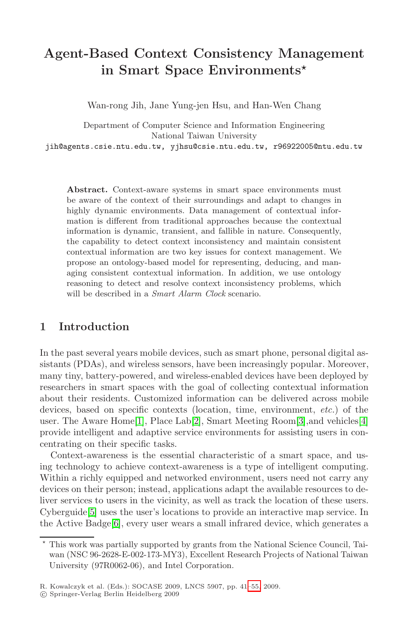## **Agent-Based Context Consistency Management in Smart Space Environments***-*

Wan-rong Jih, Jane Yung-jen Hsu, and Han-Wen Chang

Department of Computer Science and Information Engineering National Taiwan University jih@agents.csie.ntu.edu.tw, yjhsu@csie.ntu.edu.tw, r96922005@ntu.edu.tw

**Abstract.** Context-aware systems in smart space environments must be aware of the context of their surroundings and adapt to changes in highly dynamic environments. Data management of contextual information is different from traditional approaches because the contextual information is dynamic, transient, and fallible in nature. Consequently, the capability to detect context inconsistency and maintain consistent contextual information are two key issues for context management. We propose an ontology-based model for representing, deducing, and managing consistent contextual information. In addition, we use ontology reasoning to detect and resolve context inconsistency problems, which will be described in a *Smart Alarm Clock* scenario.

## **1 [In](#page-13-0)troduct[io](#page-13-1)n**

In the past several years mobile devices, such as smart phone, personal digital assistants (PDAs), and wireless sensors, have been increasingly popular. Moreover, many tiny, battery-powered, and wireless-enabled devices have been deployed by researchers in smart spaces with the goal of collecting contextual information about their residents. Customized information can be delivered across mobile devices, based on specific contexts (location, time, environment, *etc.*) of the user. The Aware Home[1], Place Lab[2], Smart Meeting Room[3],and vehicles[4] [p](#page-13-2)rovide intelligent and adaptive service environments for assisting users in concentrating on their specific tasks.

Context-awareness is the essential characteristic of a smart space, and using technology to achieve context-awareness is a type of intelligent computing. Within a richly equipped and networked environment, users need not carry any devices on their person; instead, applications adapt the available resources to deliver services to users in the vic[init](#page-14-0)y, as well as track the location of these users. Cyberguide[5] uses the user's locations to provide an interactive map service. In the Active Badge[6], every user wears a small infrared device, which generates a

 $\star$  This work was partially supported by grants from the National Science Council, Taiwan (NSC 96-2628-E-002-173-MY3), Excellent Research Projects of National Taiwan University (97R0062-06), and Intel Corporation.

R. Kowalczyk et al. (Eds.): SOCASE 2009, LNCS 5907, pp. 41–55, 2009.

<sup>-</sup>c Springer-Verlag Berlin Heidelberg 2009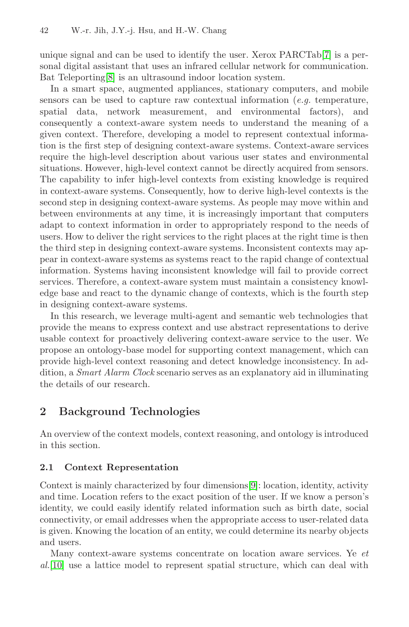unique signal and can be used to identify the user. Xerox PARCTab[7] is a personal digital assistant that uses an infrared cellular network for communication. Bat Teleporting[8] is an ultrasound indoor location system.

In a smart space, augmented appliances, stationary computers, and mobile sensors can be used to capture raw contextual information (*e.g.* temperature, spatial data, network measurement, and environmental factors), and consequently a context-aware system needs to understand the meaning of a given context. Therefore, developing a model to represent contextual information is the first step of designing context-aware systems. Context-aware services require the high-level description about various user states and environmental situations. However, high-level context cannot be directly acquired from sensors. The capability to infer high-level contexts from existing knowledge is required in context-aware systems. Consequently, how to derive high-level contexts is the second step in designing context-aware systems. As people may move within and between environments at any time, it is increasingly important that computers adapt to context information in order to appropriately respond to the needs of users. How to deliver the right services to the right places at the right time is then the third step in designing context-aware systems. Inconsistent contexts may appear in context-aware systems as systems react to the rapid change of contextual information. Systems having inconsistent knowledge will fail to provide correct services. Therefore, a context-aware system must maintain a consistency knowledge base and react to the dynamic change of contexts, which is the fourth step in designing context-aware systems.

In this research, we leverage multi-agent and semantic web technologies that provide the means to express context and use abstract representations to derive usable context for proactively delivering context-aware service to the user. We propose an ontology-base model for supporting context management, which can provide high-level context reasoning and detect knowledge inconsistency. In addition, a *Smart Alarm Clock* scenario serves as an explanatory aid in illuminating the details of our research.

#### **2 Background Technologies**

An overview of the context models, context reasoning, and ontology is introduced in this section.

## **2.1 Context Representation**

Context is mainly characterized by four dimensions[9]: location, identity, activity and time. Location refers to the exact position of the user. If we know a person's identity, we could easily identify related information such as birth date, social connectivity, or email addresses when the appropriate access to user-related data is given. Knowing the location of an entity, we could determine its nearby objects and users.

Many context-aware systems concentrate on location aware services. Ye *et al.*[10] use a lattice model to represent spatial structure, which can deal with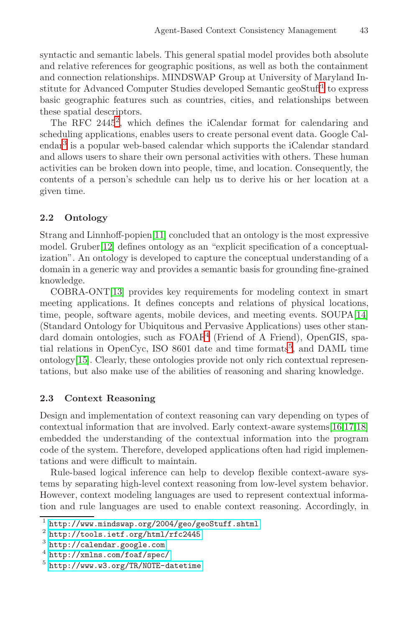syntactic and semantic labels. This general spatial model provides both absolute and relative references for geographic positions, as well as both the containment and connection relationships. MINDSWAP Group at University of Maryland Institute for Advanced Computer Studies developed Semantic geoStuff<sup>1</sup> to express basic geographic features such as countries, cities, and relationships between these spatial descriptors.

The RFC  $2445^2$ , which defines the iCalendar format for calendaring and scheduling applications, enables users to create personal event data. Google Calendar<sup>3</sup> i[s a](#page-13-3) popular web-based calendar which supports the iCalendar standard and allows users to share their own personal activities with others. These human activities can be broken down into people, time, and location. Consequently, the contents of a person's schedule can help us to derive his or her location at a given time.

#### **2.2 Ontology**

Strang and Linnhoff-popien[11] concluded that an ontology is the most expressive model. Gruber[12] d[efi](#page-2-0)nes ontology as an "explicit specification of a conceptualization". An ontology is developed to ca[ptu](#page-2-1)re the conceptual understanding of a domain in a generic way and provides a semantic basis for grounding fine-grained knowledge.

COBRA-ONT[13] provides key requirements for modeling context in smart meeting applications. It defines concepts and relations of physical locations, time, people, software agents, mobile devices, and meeting events. SOUPA[14] (Standard Ontology for Ubiquitous and Pervasive Applications) uses other standard domain ontologies, such as FOAF<sup>4</sup> (Friend o[f A](#page-13-4) [F](#page-14-1)[rien](#page-14-2)d), OpenGIS, spatial relations in OpenCyc, ISO  $8601$  date and time formats<sup>5</sup>, and DAML time ontology[15]. Clearly, these ontologies provide not only rich contextual representations, but also make use of the abilities of reasoning and sharing knowledge.

#### $2.3$ **2.3 Context Reasoning**

Design and implementation of context reasoning can vary depending on types of contextual information that are involved. Early context-aware systems[16,17,18] [embedded the understanding of th](http://www.mindswap.org/2004/geo/geoStuff.shtml)e contextual information into the program [code of the system. T](http://tools.ietf.org/html/rfc2445)herefore, developed applications often had rigid implemen[tations](http://calendar.google.com) [and](http://calendar.google.com) were difficult to maintain.

<span id="page-2-1"></span><span id="page-2-0"></span>[Rule-based](http://xmlns.com/foaf/spec/) logical inference can help to develop flexible context-aware sys[tems](http://www.w3.org/TR/NOTE-datetime) [by](http://www.w3.org/TR/NOTE-datetime) [separating](http://www.w3.org/TR/NOTE-datetime) [h](http://www.w3.org/TR/NOTE-datetime)igh-level context reasoning from low-level system behavior. However, context modeling languages are used to represent contextual information and rule languages are used to enable context reasoning. Accordingly, in

 $1$  http://www.mindswap.org/2004/geo/geoStuff.shtml

<sup>2</sup> http://tools.ietf.org/html/rfc2445

<sup>3</sup> http://calendar.google.com

<sup>4</sup> http://xmlns.com/foaf/spec/

<sup>5</sup> http://www.w3.org/TR/NOTE-datetime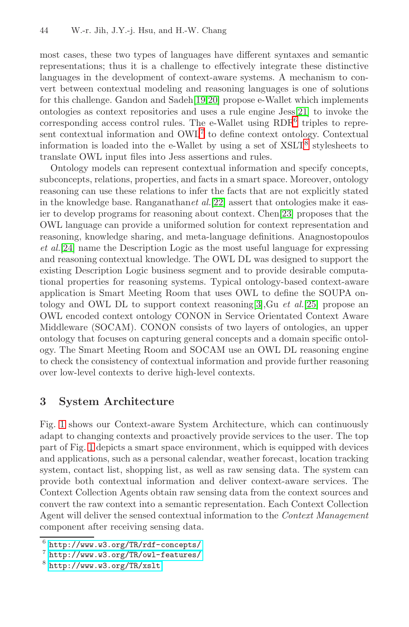most cases, these t[wo](#page-3-1) types of languages ha[ve](#page-3-2) different syntaxes and semantic representations; thus it is a challenge to effectively integrate these distinctive languages in the development of context-aware systems. A mechanism to convert between contextual modeling and reasoning languages is one of solutions for this challenge. Gandon and Sadeh[19,20] propose e-Wallet which implements ontologies as context r[epo](#page-14-4)sitories and uses a rule engine Jess[21] to invoke the corresponding access control rules. Th[e e-](#page-14-5)Wallet using RDF<sup>6</sup> triples to represent contextual information and OWL<sup>7</sup> to define context ontology. Contextual information is loaded into the e-Wallet by using a set of XSLT<sup>8</sup> stylesheets to translate OWL input files into Jess assertions and rules.

Ontology models can represent contextual information and specify concepts, subconcepts, relations, properties, and facts in a smart space. Moreover, ontology reasoning can use these relations to infer the facts that are not explicitly stated in the knowledge base. Ranganathan*et al.*[22] assert that ontologies make it easier to develop programs for reaso[nin](#page-13-5)g about c[ont](#page-14-6)ext. Chen[23] proposes that the OWL language can provide a uniformed solution for context representation and reasoning, knowledge sharing, and meta-language definitions. Anagnostopoulos *et al.*[24] name the Description Logic as the most useful language for expressing and reasoning contextual knowledge. The OWL DL was designed to support the existing Description Logic business segment and to provide desirable computational properties for reasoning systems. Typical ontology-based context-aware application is Smart Meeting Room that uses OWL to define the SOUPA ontology and OWL DL to support context reasoning[3],Gu *et al.*[25] propose an OWL encoded context ontology CONON in Service Orientated Context Aware Middleware (SOCAM). CONON consists of two layers of ontologies, an upper ontology that focuses on capturing general concepts and a domain specific ontology. The Smart Meeting Room and SOCAM use an OWL DL reasoning engine to check the consistency of contextual information and provide further reasoning over low-level contexts to derive high-level contexts.

#### **3 System Architecture**

<span id="page-3-1"></span><span id="page-3-0"></span>Fig. 1 shows our Context-aware System Architecture, which can continuously adapt to changing contexts and proactively provide services to the user. The top part of Fig. 1 depicts a smart space environment, which is equipped with devices [and applications, suc](http://www.w3.org/TR/rdf-concepts/)h as a personal calendar, weather forecast, location tracking [system, contact list,](http://www.w3.org/TR/owl-features/) shopping list, as well as raw sensing data. The system can [provide](http://www.w3.org/TR/xslt) [bo](http://www.w3.org/TR/xslt)th contextual information and deliver context-aware services. The Context Collection Agents obtain raw sensing data from the context sources and convert the raw context into a semantic representation. Each Context Collection Agent will deliver the sensed contextual information to the *Context Management* component after receiving sensing data.

<span id="page-3-2"></span> $6$  http://www.w3.org/TR/rdf-concepts/

<sup>7</sup> http://www.w3.org/TR/owl-features/

<sup>8</sup> http://www.w3.org/TR/xslt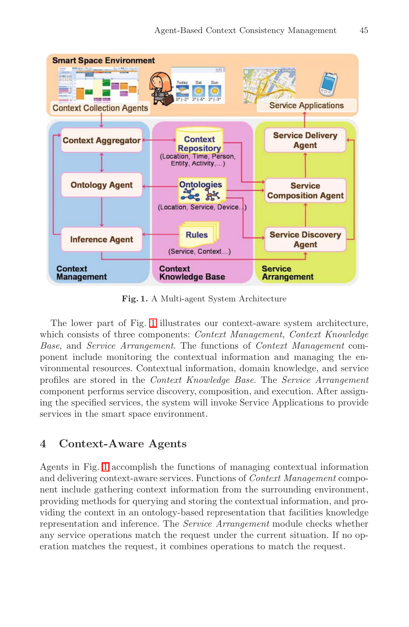

<span id="page-4-0"></span>**Fig. 1.** A Multi-agent System Architecture

The lower part of Fig. 1 illustrates our context-aware system architecture, which consists of three components: *Context Management*, *Context Knowledge Base*, and *Service Arrangement*. The functions of *Context Management* component include monitoring the contextual information and managing the environmental resources. Contextual information, domain knowledge, and service profiles are stored in the *Context Knowledge Base*. The *Service Arrangement* component performs service discovery, composition, and execution. After assigning the specified services, the system will invoke Service Applications to provide services in the smart space environment.

#### **4 Context-Aware Agents**

Agents in Fig. 1 accomplish the functions of managing contextual information and delivering context-aware services. Functions of *Context Management* component include gathering context information from the surrounding environment, providing methods for querying and storing the contextual information, and providing the context in an ontology-based representation that facilities knowledge representation and inference. The *Service Arrangement* module checks whether any service operations match the request under the current situation. If no operation matches the request, it combines operations to match the request.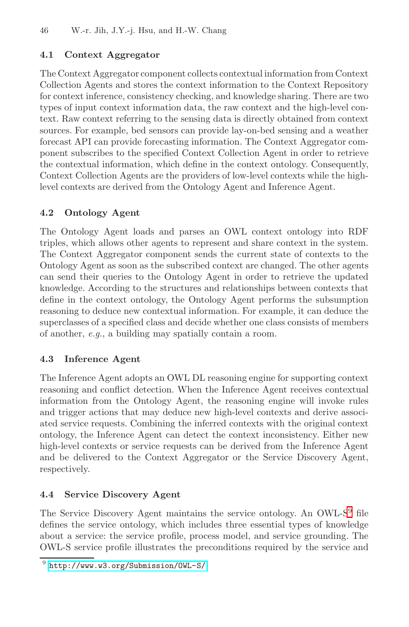#### **4.1 Context Aggregator**

The Context Aggregator component collects contextual information from Context Collection Agents and stores the context information to the Context Repository for context inference, consistency checking, and knowledge sharing. There are two types of input context information data, the raw context and the high-level context. Raw context referring to the sensing data is directly obtained from context sources. For example, bed sensors can provide lay-on-bed sensing and a weather forecast API can provide forecasting information. The Context Aggregator component subscribes to the specified Context Collection Agent in order to retrieve the contextual information, which define in the context ontology. Consequently, Context Collection Agents are the providers of low-level contexts while the highlevel contexts are derived from the Ontology Agent and Inference Agent.

#### $4.2$ **4.2 Ontology Agent**

The Ontology Agent loads and parses an OWL context ontology into RDF triples, which allows other agents to represent and share context in the system. The Context Aggregator component sends the current state of contexts to the Ontology Agent as soon as the subscribed context are changed. The other agents can send their queries to the Ontology Agent in order to retrieve the updated knowledge. According to the structures and relationships between contexts that define in the context ontology, the Ontology Agent performs the subsumption reasoning to deduce new contextual information. For example, it can deduce the superclasses of a specified class and decide whether one class consists of members of another, *e.g.*, a building may spatially contain a room.

## **4.3 Inference Agent**

The Inference Agent adopts an OWL DL reasoning engine for supporting context reasoning and conflict detection. When the Inference Agent receives contextual information from the Ontology Agent, the reasoning engine will invoke rules and trigger actions that may deduce new high-level contexts and derive associated service requests. Combining the inferred contexts [wi](#page-5-0)th the original context ontology, the Inference Agent can detect the context inconsistency. Either new high-level contexts or service requests can be derived from the Inference Agent and be delivered to the Context Aggregator or the Service Discovery Agent, [respectively.](http://www.w3.org/Submission/OWL-S/)

#### <span id="page-5-0"></span> $4.4$ **Service Discovery Agent**

The Service Discovery Agent maintains the service ontology. An OWL-S<sup>9</sup> file defines the service ontology, which includes three essential types of knowledge about a service: the service profile, process model, and service grounding. The OWL-S service profile illustrates the preconditions required by the service and

<sup>9</sup> http://www.w3.org/Submission/OWL-S/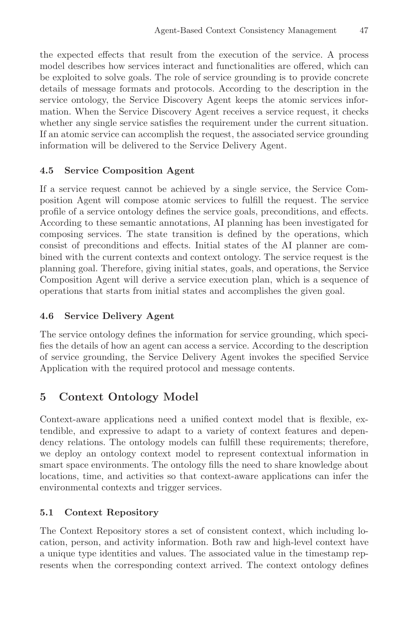the expected effects that result from the execution of the service. A process model describes how services interact and functionalities are offered, which can be exploited to solve goals. The role of service grounding is to provide concrete details of message formats and protocols. According to the description in the service ontology, the Service Discovery Agent keeps the atomic services information. When the Service Discovery Agent receives a service request, it checks whether any single service satisfies the requirement under the current situation. If an atomic service can accomplish the request, the associated service grounding information will be delivered to the Service Delivery Agent.

# **4.5 Service Composition Agent**

If a service request cannot be achieved by a single service, the Service Composition Agent will compose atomic services to fulfill the request. The service profile of a service ontology defines the service goals, preconditions, and effects. According to these semantic annotations, AI planning has been investigated for composing services. The state transition is defined by the operations, which consist of preconditions and effects. Initial states of the AI planner are combined with the current contexts and context ontology. The service request is the planning goal. Therefore, giving initial states, goals, and operations, the Service Composition Agent will derive a service execution plan, which is a sequence of operations that starts from initial states and accomplishes the given goal.

#### **Service Delivery Agent** 4.6

The service ontology defines the information for service grounding, which specifies the details of how an agent can access a service. According to the description of service grounding, the Service Delivery Agent invokes the specified Service Application with the required protocol and message contents.

## **5 Context Ontology Model**

Context-aware applications need a unified context model that is flexible, extendible, and expressive to adapt to a variety of context features and dependency relations. The ontology models can fulfill these requirements; therefore, we deploy an ontology context model to represent contextual information in smart space environments. The ontology fills the need to share knowledge about locations, time, and activities so that context-aware applications can infer the environmental contexts and trigger services.

### **5.1 Context Repository**

The Context Repository stores a set of consistent context, which including location, person, and activity information. Both raw and high-level context have a unique type identities and values. The associated value in the timestamp represents when the corresponding context arrived. The context ontology defines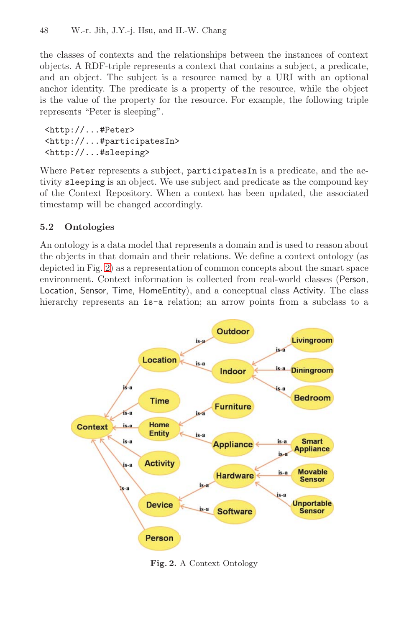the classes of contexts and the relationships between the instances of context objects. A RDF-triple represents a context that contains a subject, a predicate, and an object. The subject is a resource named by a URI with an optional anchor identity. The predicate is a property of the resource, while the object is the value of the property for the resource. For example, the following triple represents "Peter is sleeping".

<http://...#Peter> <http://...#participatesIn> <http://...#sleeping>

Where Peter represents a subject, participatesIn is a predicate, and the activity sleeping is an object. We use subject and predicate as the compound key of the Context Repository. When a context has been updated, the associated timestamp will be changed accordingly.

# **5.2 Ontologies**

An ontology is a data model that represents a domain and is used to reason about the objects in that domain and their relations. We define a context ontology (as depicted in Fig. 2) as a representation of common concepts about the smart space environment. Context information is collected from real-world classes (Person, Location, Sensor, Time, HomeEntity), and a conceptual class Activity. The class hierarchy represents an is-a relation; an arrow points from a subclass to a



**Fig. 2.** A Context Ontology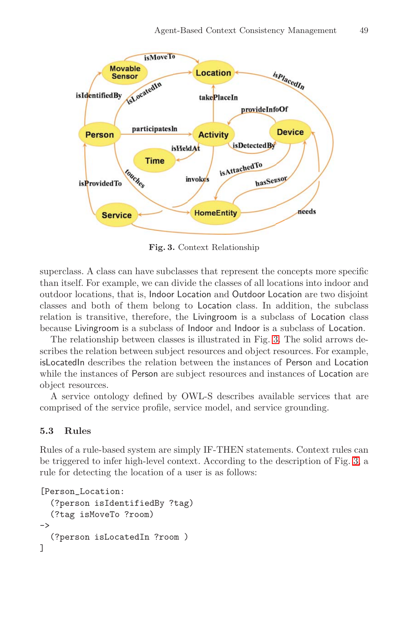



**Fig. 3.** Con[tex](#page-8-0)t Relationship

superclass. A class can have subclasses that represent the concepts more specific than itself. For example, we can divide the classes of all locations into indoor and outdoor locations, that is, Indoor Location and Outdoor Location are two disjoint classes and both of them belong to Location class. In addition, the subclass relation is transitive, therefore, the Livingroom is a subclass of Location class because Livingroom is a subclass of Indoor and Indoor is a subclass of Location.

The relationship between classes is illustrated in Fig. 3. The solid arrows describes the relation between subject resources and object resources. For example, isLocatedIn describes the relation between the instances of Person and Location while the instances of Person are subject resources and i[nst](#page-8-0)ances of Location are object resources.

A service ontology defined by OWL-S describes available services that are comprised of the service profile, service model, and service grounding.

Rules of a rule-based system are simply IF-THEN statements. Context rules can be triggered to infer high-level context. According to the description of Fig. 3, a rule for detecting the location of a user is as follows:

```
[Person_Location:
  (?person isIdentifiedBy ?tag)
  (?tag isMoveTo ?room)
->
  (?person isLocatedIn ?room )
]
```
<span id="page-8-0"></span>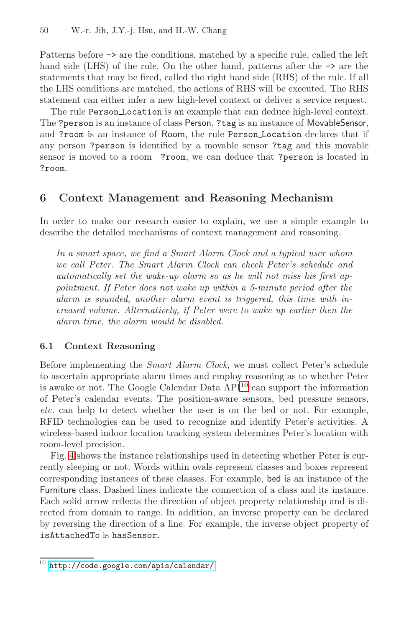Patterns before -> are the conditions, matched by a specific rule, called the left hand side (LHS) of the rule. On the other hand, patterns after the  $\rightarrow$  are the statements that may be fired, called the right hand side (RHS) of the rule. If all the LHS conditions are matched, the actions of RHS will be executed. The RHS statement can either infer a new high-level context or deliver a service request.

The rule Person Location is an example that can deduce high-level context. The ?person is an instance of class Person, ?tag is an instance of MovableSensor, and ?room is an instance of Room, the rule Person Location declares that if any person ?person is identified by a movable sensor ?tag and this movable sensor is moved to a room ?room, we can deduce that ?person is located in ?room.

#### **6 Context Management and Reasoning Mechanism**

In order to make our research easier to explain, we use a simple example to describe the detailed mechanisms of context management and reasoning.

*In a smart space, we find a Smart Alarm Clock and a typical user whom we call Peter. The Smart Alarm Clock can check Peter's schedule and automatically set the wake-up alarm so as he will not miss his first appointment. If Peter does not wake up within a 5-minute period after the alarm is sounded, anoth[er](#page-9-0) alarm event is triggered, this time with increased volume. Alternatively, if Peter were to wake up earlier then the alarm time, the alarm would be disabled.*

#### $6.1$ **6.1 Context Reasoning**

Before implementing the *Smart Alarm Clock*, we must collect Peter's schedule to ascertain appropriate alarm times and employ reasoning as to whether Peter is awake or not. The Google Calendar Data API<sup>10</sup> can support the information of Peter's calendar events. The position-aware sensors, bed pressure sensors, *etc.* can help to detect whether the user is on the bed or not. For example, RFID technologies can be used to recognize and identify Peter's activities. A wireless-based indoor location tracking system determines Peter's location with room-level precision.

<span id="page-9-0"></span>Fig. 4 shows the instance relationships used in detecting whether Peter is currently sleeping or not. Words within ovals represent classes and boxes represent [corresponding instances](http://code.google.com/apis/calendar/) of these classes. For example, bed is an instance of the Furniture class. Dashed lines indicate the connection of a class and its instance. Each solid arrow reflects the direction of object property relationship and is directed from domain to range. In addition, an inverse property can be declared by reversing the direction of a line. For example, the inverse object property of isAttachedTo is hasSensor.

<sup>10</sup> http://code.google.com/apis/calendar/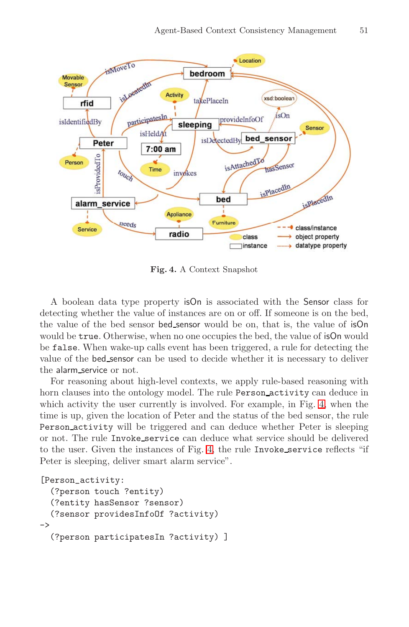

<span id="page-10-0"></span>**Fig. 4.** A Context Snapshot

A boolean data type property isOn is associated with the Sensor class for detecting whether the value of instances are on [or](#page-10-0) off. If someone is on the bed, the value of the bed sensor bed sensor would be on, that is, the value of isOn would be true. Otherwise, when no one occupies the bed, the value of isOn would be false. When wake-up calls event has been triggered, a rule for detecting the value of the bed\_sens[or](#page-10-0) can be used to decide whether it is necessary to deliver the alarm service or not.

For reasoning about high-level contexts, we apply rule-based reasoning with horn clauses into the ontology model. The rule Person activity can deduce in which activity the user currently is involved. For example, in Fig. 4, when the time is up, given the location of Peter and the status of the bed sensor, the rule Person activity will be triggered and can deduce whether Peter is sleeping or not. The rule Invoke service can deduce what service should be delivered to the user. Given the instances of Fig. 4, the rule Invoke service reflects "if Peter is sleeping, deliver smart alarm service".

```
[Person_activity:
```

```
(?person touch ?entity)
 (?entity hasSensor ?sensor)
 (?sensor providesInfoOf ?activity)
->
 (?person participatesIn ?activity) ]
```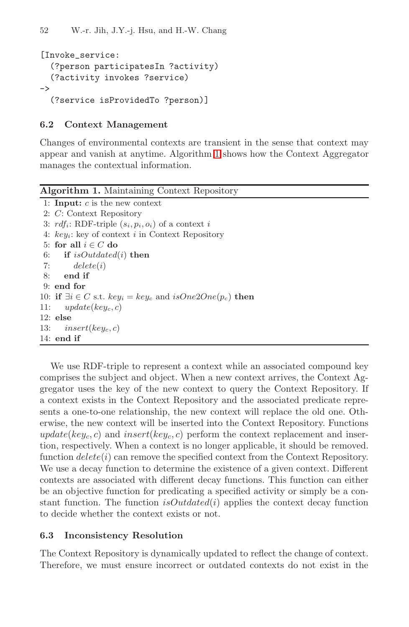```
52 W.-r. Jih, J.Y.-j. Hsu, and H.-W. Chang
[Invoke_service:
  (?person participatesIn ?activity)
  (?activity invokes ?service)
->
  (?service isProvidedTo ?person)]
```
#### <span id="page-11-0"></span>**6.2 Context Management**

Changes of environmental contexts are transient in the sense that context may appear and vanish at anytime. Algorithm 1 shows how the Context Aggregator manages the contextual information.

#### **Algorithm 1.** Maintaining Context Repository

1: **Input:** *c* is the new context 2: *C*: Context Repository 3:  $\text{rdf}_i$ : RDF-triple  $(s_i, p_i, o_i)$  of a context *i* 4: *key*i: key of context *i* in Context Repository 5: **for all**  $i \in C$  **do**<br>6: **if** *isOutdated* 6: **if** *isOutdated*(*i*) **then** 7: *delete*(*i*) 8: **end if** 9: **end for** 10: **if**  $\exists i \in C$  s.t.  $key_i = key_c$  and  $isOne2One(p_c)$  **then** 11: *undate*(*key*<sub>c</sub>, *c*)  $update(key_c, c)$ 12: **else** 13:  $insert(key_c, c)$ 14: **end if**

We use RDF-triple to represent a context while an associated compound key comprises the subject and object. When a new context arrives, the Context Aggregator uses the key of the new context to query the Context Repository. If a context exists in the Context Repository and the associated predicate represents a one-to-one relationship, the new context will replace the old one. Otherwise, the new context will be inserted into the Context Repository. Functions  $update(key_c, c)$  and  $insert(key_c, c)$  perform the context replacement and insertion, respectively. When a context is no longer applicable, it should be removed. function *delete*(*i*) can remove the specified context from the Context Repository. We use a decay function to determine the existence of a given context. Different contexts are associated with different decay functions. This function can either be an objective function for predicating a specified activity or simply be a constant function. The function *isOutdated*(*i*) applies the context decay function to decide whether the context exists or not.

#### **6.3 Inconsistency Resolution**

The Context Repository is dynamically updated to reflect the change of context. Therefore, we must ensure incorrect or outdated contexts do not exist in the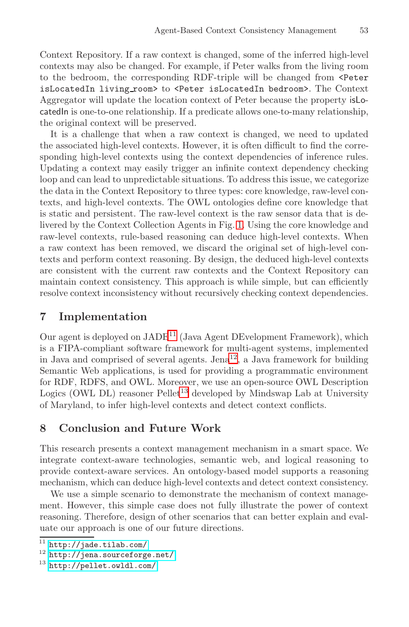Context Repository. If a raw context is changed, some of the inferred high-level contexts may also be changed. For example, if Peter walks from the living room to the bedroom, the corresponding RDF-triple will be changed from <Peter isLocatedIn living room> to <Peter isLocatedIn bedroom>. The Context Aggregator will update the location context of Peter because the property isLocatedIn is one-to-one relationship. If a predicate allows one-to-many relationship, the original context will be preserved.

It is a challenge that wh[en](#page-4-0) a raw context is changed, we need to updated the associated high-level contexts. However, it is often difficult to find the corresponding high-level contexts using the context dependencies of inference rules. Updating a context may easily trigger an infinite context dependency checking loop and can lead to unpredictable situations. To address this issue, we categorize the data in the Context Repository to three types: core knowledge, raw-level contexts, and high-level contexts. The OWL ontologies define core knowledge that is static and persistent. The raw-level context is the raw sensor data that is delivered by the Context Collection Agents in Fig. 1. Using the core knowledge and raw-level contexts, rule-based reasoning can deduce high-level contexts. When a raw conte[xt](#page-12-0) has been removed, we discard the original set of high-level contexts and perform context reasoning. By design, the deduced high-level contexts are consistent with the cu[rre](#page-12-1)nt raw contexts and the Context Repository can maintain context consistency. This approach is while simple, but can efficiently resolve context inconsistency without recursively checking context dependencies.

#### **7 Implementation**

Our agent is deployed on  $JADE^{11}$  (Java Agent DEvelopment Framework), which is a FIPA-compliant software framework for multi-agent systems, implemented in Java and comprised of several agents. Jena<sup>12</sup>, a Java framework for building Semantic Web applications, is used for providing a programmatic environment for RDF, RDFS, and OWL. Moreover, we use an open-source OWL Description Logics (OWL DL) reasoner  $Pelle<sup>13</sup> developed by Mindswap Lab at University$ of Maryland, to infer high-level contexts and detect context conflicts.

## **8 Conclusion and Future Work**

<span id="page-12-0"></span>This research presents a context management mechanism in a smart space. We [integrat](http://jade.tilab.com/)e context-aware technologies, semantic web, and logical reasoning to [provide](http://jena.sourceforge.net/) [contex](http://jena.sourceforge.net/)t-aware services. An ontology-based model supports a reasoning [mechanism](http://pellet.owldl.com/), which can deduce high-level contexts and detect context consistency.

<span id="page-12-1"></span>We use a simple scenario to demonstrate the mechanism of context management. However, this simple case does not fully illustrate the power of context reasoning. Therefore, design of other scenarios that can better explain and evaluate our approach is one of our future directions.

 $\frac{11}{11}$  http://jade.tilab.com/

<sup>12</sup> http://jena.sourceforge.net/

<sup>13</sup> http://pellet.owldl.com/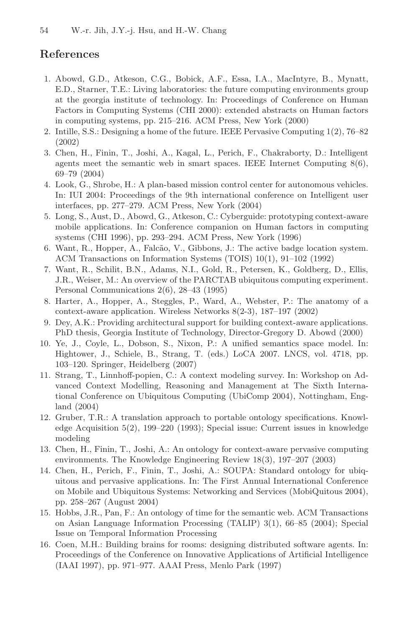## **References**

- <span id="page-13-0"></span>1. Abowd, G.D., Atkeson, C.G., Bobick, A.F., Essa, I.A., MacIntyre, B., Mynatt, E.D., Starner, T.E.: Living laboratories: the future computing environments group at the georgia institute of technology. In: Proceedings of Conference on Human Factors in Computing Systems (CHI 2000): extended abstracts on Human factors in computing systems, pp. 215–216. ACM Press, New York (2000)
- <span id="page-13-1"></span>2. Intille, S.S.: Designing a home of the future. IEEE Pervasive Computing 1(2), 76–82 (2002)
- <span id="page-13-5"></span>3. Chen, H., Finin, T., Joshi, A., Kagal, L., Perich, F., Chakraborty, D.: Intelligent agents meet the semantic web in smart spaces. IEEE Internet Computing  $8(6)$ , 69–79 (2004)
- 4. Look, G., Shrobe, H.: A plan-based mission control center for autonomous vehicles. In: IUI 2004: Proceedings of the 9th international conference on Intelligent user interfaces, pp. 277–279. ACM Press, New York (2004)
- 5. Long, S., Aust, D., Abowd, G., Atkeson, C.: Cyberguide: prototyping context-aware mobile applications. In: Conference companion on Human factors in computing systems (CHI 1996), pp. 293–294. ACM Press, New York (1996)
- <span id="page-13-2"></span>6. Want, R., Hopper, A., Falcão, V., Gibbons, J.: The active badge location system. ACM Transactions on Information Systems (TOIS) 10(1), 91–102 (1992)
- 7. Want, R., Schilit, B.N., Adams, N.I., Gold, R., Petersen, K., Goldberg, D., Ellis, J.R., Weiser, M.: An overview of the PARCTAB ubiquitous computing experiment. Personal Communications 2(6), 28–43 (1995)
- 8. Harter, A., Hopper, A., Steggles, P., Ward, A., Webster, P.: The anatomy of a context-aware application. Wireless Networks 8(2-3), 187–197 (2002)
- 9. Dey, A.K.: Providing architectural support for building context-aware applications. PhD thesis, Georgia Institute of Technology, Director-Gregory D. Abowd (2000)
- 10. Ye, J., Coyle, L., Dobson, S., Nixon, P.: A unified semantics space model. In: Hightower, J., Schiele, B., Strang, T. (eds.) LoCA 2007. LNCS, vol. 4718, pp. 103–120. Springer, Heidelberg (2007)
- <span id="page-13-3"></span>11. Strang, T., Linnhoff-popien, C.: A context modeling survey. In: Workshop on Advanced Context Modelling, Reasoning and Management at The Sixth International Conference on Ubiquitous Computing (UbiComp 2004), Nottingham, England (2004)
- 12. Gruber, T.R.: A translation approach to portable ontology specifications. Knowledge Acquisition 5(2), 199–220 (1993); Special issue: Current issues in knowledge modeling
- 13. Chen, H., Finin, T., Joshi, A.: An ontology for context-aware pervasive computing environments. The Knowledge Engineering Review 18(3), 197–207 (2003)
- 14. Chen, H., Perich, F., Finin, T., Joshi, A.: SOUPA: Standard ontology for ubiquitous and pervasive applications. In: The First Annual International Conference on Mobile and Ubiquitous Systems: Networking and Services (MobiQuitous 2004), pp. 258–267 (August 2004)
- 15. Hobbs, J.R., Pan, F.: An ontology of time for the semantic web. ACM Transactions on Asian Language Information Processing (TALIP) 3(1), 66–85 (2004); Special Issue on Temporal Information Processing
- <span id="page-13-4"></span>16. Coen, M.H.: Building brains for rooms: designing distributed software agents. In: Proceedings of the Conference on Innovative Applications of Artificial Intelligence (IAAI 1997), pp. 971–977. AAAI Press, Menlo Park (1997)